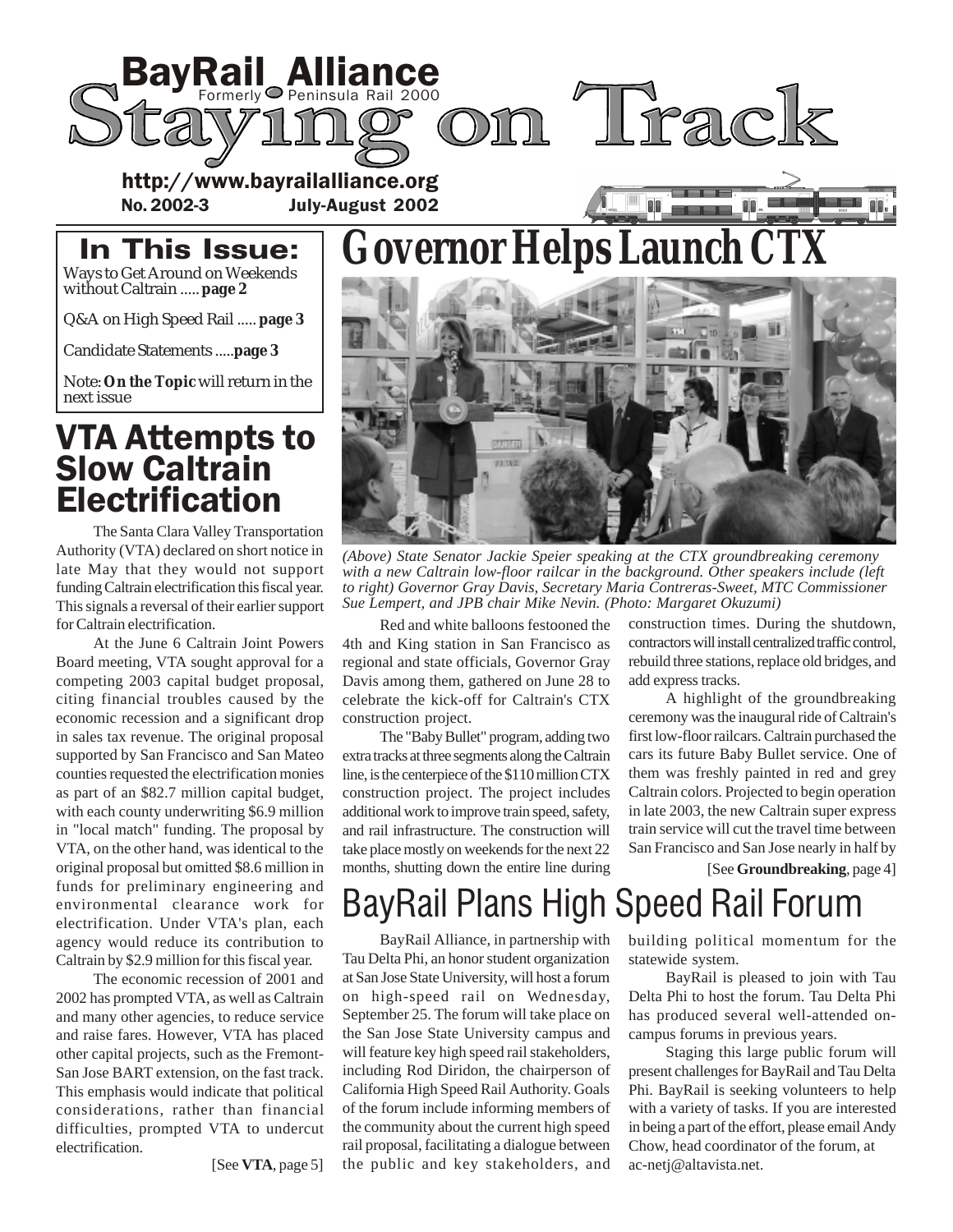

# **Governor Helps Launch CTX**

### In This Issue: Ways to Get Around on Weekends

without Caltrain ..... **page 2**

Q&A on High Speed Rail ..... **page 3**

Candidate Statements .....**page 3**

Note: **On the Topic** will return in the next issue

# VTA Attempts to **Slow Caltrain** Electrification

The Santa Clara Valley Transportation Authority (VTA) declared on short notice in late May that they would not support funding Caltrain electrification this fiscal year. This signals a reversal of their earlier support for Caltrain electrification.

At the June 6 Caltrain Joint Powers Board meeting, VTA sought approval for a competing 2003 capital budget proposal, citing financial troubles caused by the economic recession and a significant drop in sales tax revenue. The original proposal supported by San Francisco and San Mateo counties requested the electrification monies as part of an \$82.7 million capital budget, with each county underwriting \$6.9 million in "local match" funding. The proposal by VTA, on the other hand, was identical to the original proposal but omitted \$8.6 million in funds for preliminary engineering and environmental clearance work for electrification. Under VTA's plan, each agency would reduce its contribution to Caltrain by \$2.9 million for this fiscal year.

The economic recession of 2001 and 2002 has prompted VTA, as well as Caltrain and many other agencies, to reduce service and raise fares. However, VTA has placed other capital projects, such as the Fremont-San Jose BART extension, on the fast track. This emphasis would indicate that political considerations, rather than financial difficulties, prompted VTA to undercut electrification.

[See **VTA**, page 5]



*(Above) State Senator Jackie Speier speaking at the CTX groundbreaking ceremony with a new Caltrain low-floor railcar in the background. Other speakers include (left to right) Governor Gray Davis, Secretary Maria Contreras-Sweet, MTC Commissioner Sue Lempert, and JPB chair Mike Nevin. (Photo: Margaret Okuzumi)*

Red and white balloons festooned the 4th and King station in San Francisco as regional and state officials, Governor Gray Davis among them, gathered on June 28 to celebrate the kick-off for Caltrain's CTX construction project.

The "Baby Bullet" program, adding two extra tracks at three segments along the Caltrain line, is the centerpiece of the \$110 million CTX construction project. The project includes additional work to improve train speed, safety, and rail infrastructure. The construction will take place mostly on weekends for the next 22 months, shutting down the entire line during construction times. During the shutdown, contractors will install centralized traffic control, rebuild three stations, replace old bridges, and add express tracks.

A highlight of the groundbreaking ceremony was the inaugural ride of Caltrain's first low-floor railcars. Caltrain purchased the cars its future Baby Bullet service. One of them was freshly painted in red and grey Caltrain colors. Projected to begin operation in late 2003, the new Caltrain super express train service will cut the travel time between San Francisco and San Jose nearly in half by

[See **Groundbreaking**, page 4]

# BayRail Plans High Speed Rail Forum

BayRail Alliance, in partnership with Tau Delta Phi, an honor student organization at San Jose State University, will host a forum on high-speed rail on Wednesday, September 25. The forum will take place on the San Jose State University campus and will feature key high speed rail stakeholders, including Rod Diridon, the chairperson of California High Speed Rail Authority. Goals of the forum include informing members of the community about the current high speed rail proposal, facilitating a dialogue between the public and key stakeholders, and

building political momentum for the statewide system.

BayRail is pleased to join with Tau Delta Phi to host the forum. Tau Delta Phi has produced several well-attended oncampus forums in previous years.

Staging this large public forum will present challenges for BayRail and Tau Delta Phi. BayRail is seeking volunteers to help with a variety of tasks. If you are interested in being a part of the effort, please email Andy Chow, head coordinator of the forum, at ac-netj@altavista.net.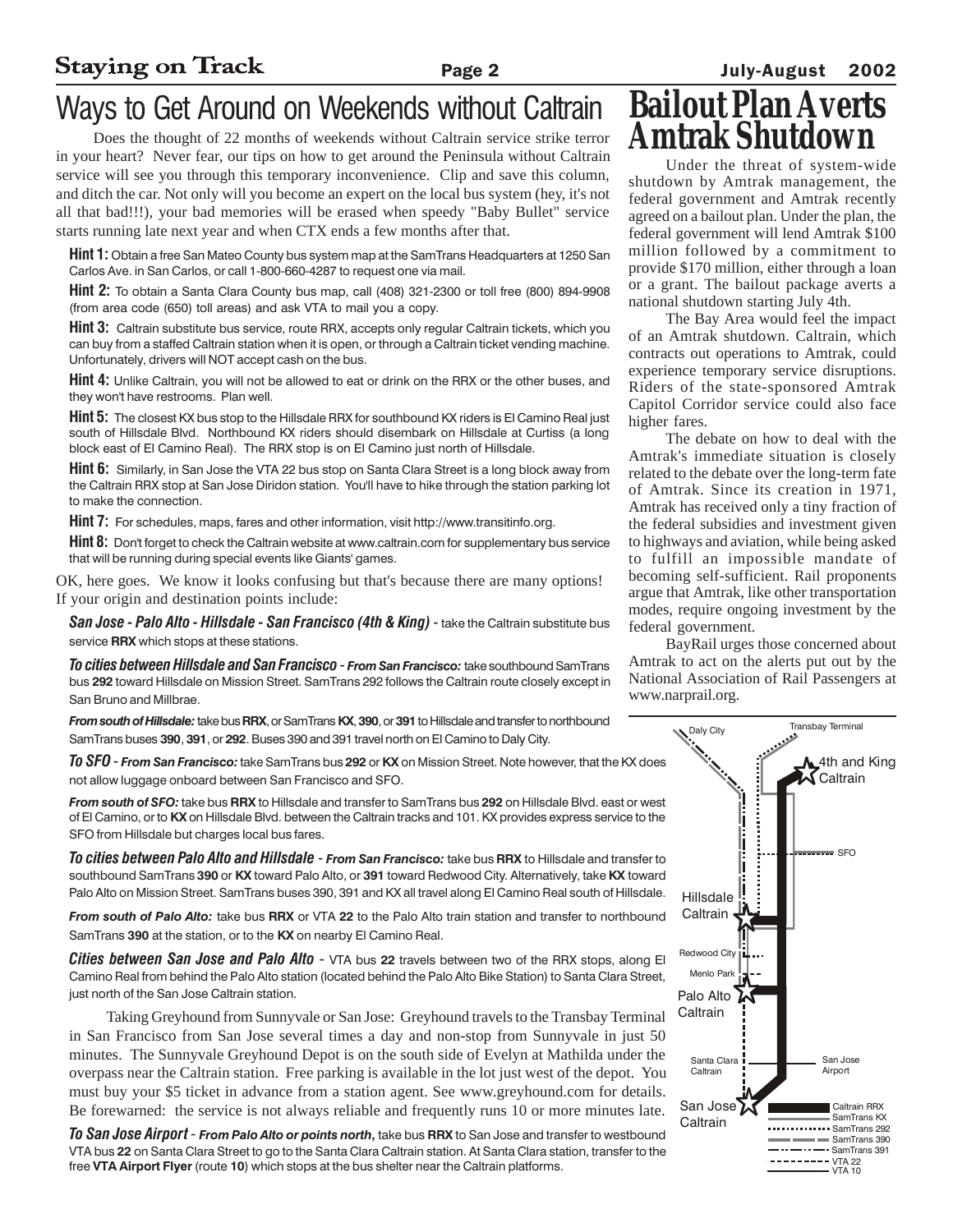# Ways to Get Around on Weekends without Caltrain

Does the thought of 22 months of weekends without Caltrain service strike terror in your heart? Never fear, our tips on how to get around the Peninsula without Caltrain service will see you through this temporary inconvenience. Clip and save this column, and ditch the car. Not only will you become an expert on the local bus system (hey, it's not all that bad!!!), your bad memories will be erased when speedy "Baby Bullet" service starts running late next year and when CTX ends a few months after that.

Hint 1: Obtain a free San Mateo County bus system map at the SamTrans Headquarters at 1250 San Carlos Ave. in San Carlos, or call 1-800-660-4287 to request one via mail.

Hint 2: To obtain a Santa Clara County bus map, call (408) 321-2300 or toll free (800) 894-9908 (from area code (650) toll areas) and ask VTA to mail you a copy.

Hint 3: Caltrain substitute bus service, route RRX, accepts only regular Caltrain tickets, which you can buy from a staffed Caltrain station when it is open, or through a Caltrain ticket vending machine. Unfortunately, drivers will NOT accept cash on the bus.

**Hint 4:** Unlike Caltrain, you will not be allowed to eat or drink on the RRX or the other buses, and they won't have restrooms. Plan well.

**Hint 5:** The closest KX bus stop to the Hillsdale RRX for southbound KX riders is El Camino Real just south of Hillsdale Blvd. Northbound KX riders should disembark on Hillsdale at Curtiss (a long block east of El Camino Real). The RRX stop is on El Camino just north of Hillsdale.

**Hint 6:** Similarly, in San Jose the VTA 22 bus stop on Santa Clara Street is a long block away from the Caltrain RRX stop at San Jose Diridon station. You'll have to hike through the station parking lot to make the connection.

Hint 7: For schedules, maps, fares and other information, visit http://www.transitinfo.org.

Hint 8: Don't forget to check the Caltrain website at www.caltrain.com for supplementary bus service that will be running during special events like Giants' games.

OK, here goes. We know it looks confusing but that's because there are many options! If your origin and destination points include:

San Jose - Palo Alto - Hillsdale - San Francisco (4th & King) - take the Caltrain substitute bus service RRX which stops at these stations.

To cities between Hillsdale and San Francisco - From San Francisco: take southbound SamTrans bus 292 toward Hillsdale on Mission Street. SamTrans 292 follows the Caltrain route closely except in San Bruno and Millbrae.

From south of Hillsdale: take bus RRX, or SamTrans KX, 390, or 391 to Hillsdale and transfer to northbound SamTrans buses 390, 391, or 292. Buses 390 and 391 travel north on El Camino to Daly City.

To SFO - From San Francisco: take SamTrans bus 292 or KX on Mission Street. Note however, that the KX does not allow luggage onboard between San Francisco and SFO.

From south of SFO: take bus RRX to Hillsdale and transfer to SamTrans bus 292 on Hillsdale Blvd. east or west of El Camino, or to KX on Hillsdale Blvd. between the Caltrain tracks and 101. KX provides express service to the SFO from Hillsdale but charges local bus fares.

**To cities between Palo Alto and Hillsdale - From San Francisco:** take bus RRX to Hillsdale and transfer to southbound SamTrans 390 or KX toward Palo Alto, or 391 toward Redwood City. Alternatively, take KX toward Palo Alto on Mission Street. SamTrans buses 390, 391 and KX all travel along El Camino Real south of Hillsdale.

From south of Palo Alto: take bus RRX or VTA 22 to the Palo Alto train station and transfer to northbound SamTrans 390 at the station, or to the KX on nearby El Camino Real.

**Cities between San Jose and Palo Alto** - VTA bus 22 travels between two of the RRX stops, along El Camino Real from behind the Palo Alto station (located behind the Palo Alto Bike Station) to Santa Clara Street, just north of the San Jose Caltrain station.

Taking Greyhound from Sunnyvale or San Jose: Greyhound travels to the Transbay Terminal in San Francisco from San Jose several times a day and non-stop from Sunnyvale in just 50 minutes. The Sunnyvale Greyhound Depot is on the south side of Evelyn at Mathilda under the overpass near the Caltrain station. Free parking is available in the lot just west of the depot. You must buy your \$5 ticket in advance from a station agent. See www.greyhound.com for details. Be forewarned: the service is not always reliable and frequently runs 10 or more minutes late.

To San Jose Airport - From Palo Alto or points north, take bus RRX to San Jose and transfer to westbound VTA bus 22 on Santa Clara Street to go to the Santa Clara Caltrain station. At Santa Clara station, transfer to the free VTA Airport Flyer (route 10) which stops at the bus shelter near the Caltrain platforms.

# **Bailout Plan Averts**

Under the threat of system-wide shutdown by Amtrak management, the federal government and Amtrak recently agreed on a bailout plan. Under the plan, the federal government will lend Amtrak \$100 million followed by a commitment to provide \$170 million, either through a loan or a grant. The bailout package averts a national shutdown starting July 4th.

The Bay Area would feel the impact of an Amtrak shutdown. Caltrain, which contracts out operations to Amtrak, could experience temporary service disruptions. Riders of the state-sponsored Amtrak Capitol Corridor service could also face higher fares.

The debate on how to deal with the Amtrak's immediate situation is closely related to the debate over the long-term fate of Amtrak. Since its creation in 1971, Amtrak has received only a tiny fraction of the federal subsidies and investment given to highways and aviation, while being asked to fulfill an impossible mandate of becoming self-sufficient. Rail proponents argue that Amtrak, like other transportation modes, require ongoing investment by the federal government.

BayRail urges those concerned about Amtrak to act on the alerts put out by the National Association of Rail Passengers at www.narprail.org.

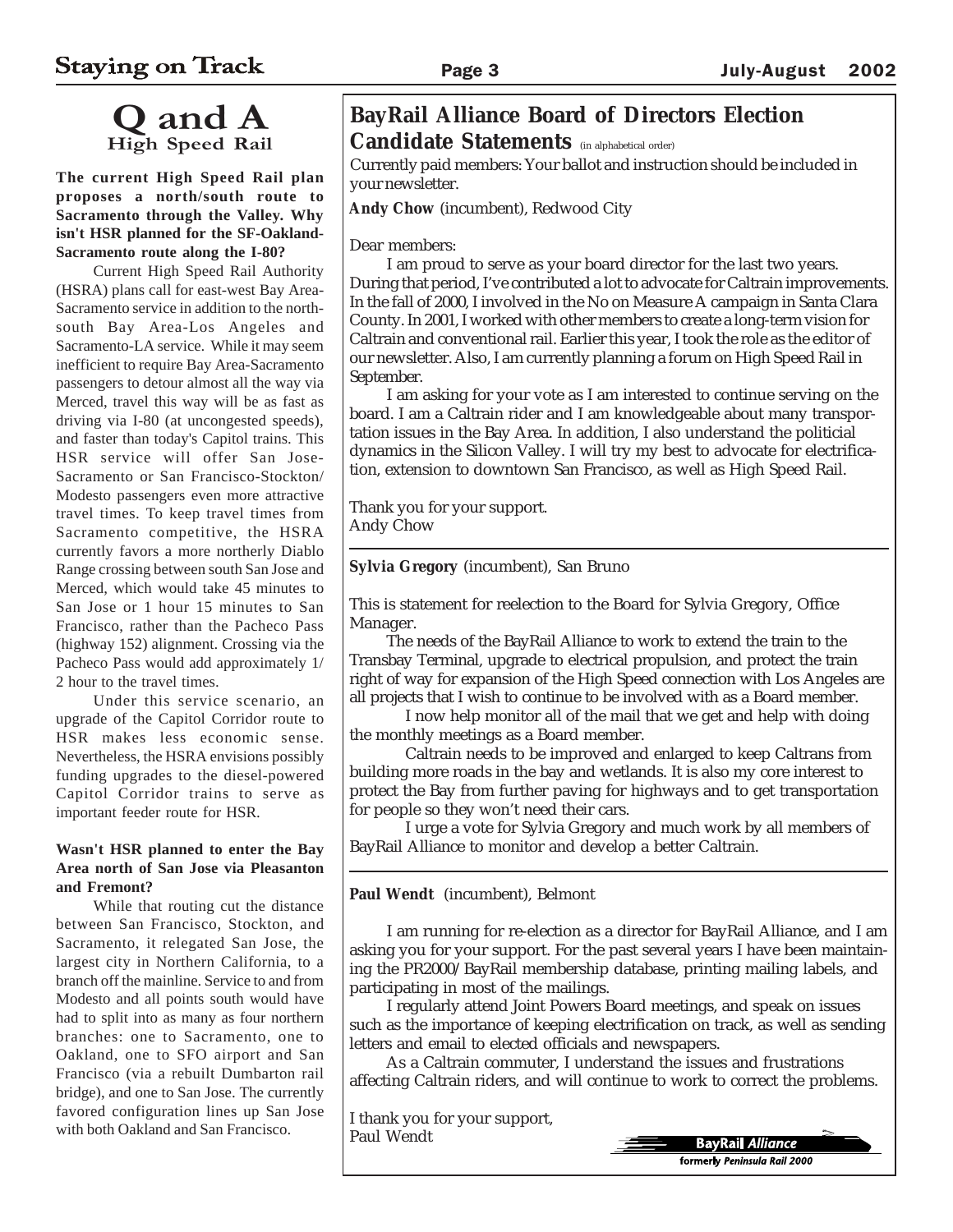# Q and A h Speed Rail

**The current High Speed Rail plan proposes a north/south route to Sacramento through the Valley. Why isn't HSR planned for the SF-Oakland-Sacramento route along the I-80?**

Current High Speed Rail Authority (HSRA) plans call for east-west Bay Area-Sacramento service in addition to the northsouth Bay Area-Los Angeles and Sacramento-LA service. While it may seem inefficient to require Bay Area-Sacramento passengers to detour almost all the way via Merced, travel this way will be as fast as driving via I-80 (at uncongested speeds), and faster than today's Capitol trains. This HSR service will offer San Jose-Sacramento or San Francisco-Stockton/ Modesto passengers even more attractive travel times. To keep travel times from Sacramento competitive, the HSRA currently favors a more northerly Diablo Range crossing between south San Jose and Merced, which would take 45 minutes to San Jose or 1 hour 15 minutes to San Francisco, rather than the Pacheco Pass (highway 152) alignment. Crossing via the Pacheco Pass would add approximately 1/ 2 hour to the travel times.

Under this service scenario, an upgrade of the Capitol Corridor route to HSR makes less economic sense. Nevertheless, the HSRA envisions possibly funding upgrades to the diesel-powered Capitol Corridor trains to serve as important feeder route for HSR.

#### **Wasn't HSR planned to enter the Bay Area north of San Jose via Pleasanton and Fremont?**

While that routing cut the distance between San Francisco, Stockton, and Sacramento, it relegated San Jose, the largest city in Northern California, to a branch off the mainline. Service to and from Modesto and all points south would have had to split into as many as four northern branches: one to Sacramento, one to Oakland, one to SFO airport and San Francisco (via a rebuilt Dumbarton rail bridge), and one to San Jose. The currently favored configuration lines up San Jose with both Oakland and San Francisco.

## **BayRail Alliance Board of Directors Election Candidate Statements** (in alphabetical order)

Currently paid members: Your ballot and instruction should be included in your newsletter.

**Andy Chow** (incumbent), Redwood City

Dear members:

I am proud to serve as your board director for the last two years. During that period, I've contributed a lot to advocate for Caltrain improvements. In the fall of 2000, I involved in the No on Measure A campaign in Santa Clara County. In 2001, I worked with other members to create a long-term vision for Caltrain and conventional rail. Earlier this year, I took the role as the editor of our newsletter. Also, I am currently planning a forum on High Speed Rail in September.

I am asking for your vote as I am interested to continue serving on the board. I am a Caltrain rider and I am knowledgeable about many transportation issues in the Bay Area. In addition, I also understand the politicial dynamics in the Silicon Valley. I will try my best to advocate for electrification, extension to downtown San Francisco, as well as High Speed Rail.

Thank you for your support. Andy Chow

**Sylvia Gregory** (incumbent), San Bruno

This is statement for reelection to the Board for Sylvia Gregory, Office Manager.

The needs of the BayRail Alliance to work to extend the train to the Transbay Terminal, upgrade to electrical propulsion, and protect the train right of way for expansion of the High Speed connection with Los Angeles are all projects that I wish to continue to be involved with as a Board member.

I now help monitor all of the mail that we get and help with doing the monthly meetings as a Board member.

Caltrain needs to be improved and enlarged to keep Caltrans from building more roads in the bay and wetlands. It is also my core interest to protect the Bay from further paving for highways and to get transportation for people so they won't need their cars.

I urge a vote for Sylvia Gregory and much work by all members of BayRail Alliance to monitor and develop a better Caltrain.

**Paul Wendt** (incumbent), Belmont

I am running for re-election as a director for BayRail Alliance, and I am asking you for your support. For the past several years I have been maintaining the PR2000/BayRail membership database, printing mailing labels, and participating in most of the mailings.

I regularly attend Joint Powers Board meetings, and speak on issues such as the importance of keeping electrification on track, as well as sending letters and email to elected officials and newspapers.

As a Caltrain commuter, I understand the issues and frustrations affecting Caltrain riders, and will continue to work to correct the problems.

I thank you for your support, Paul Wendt

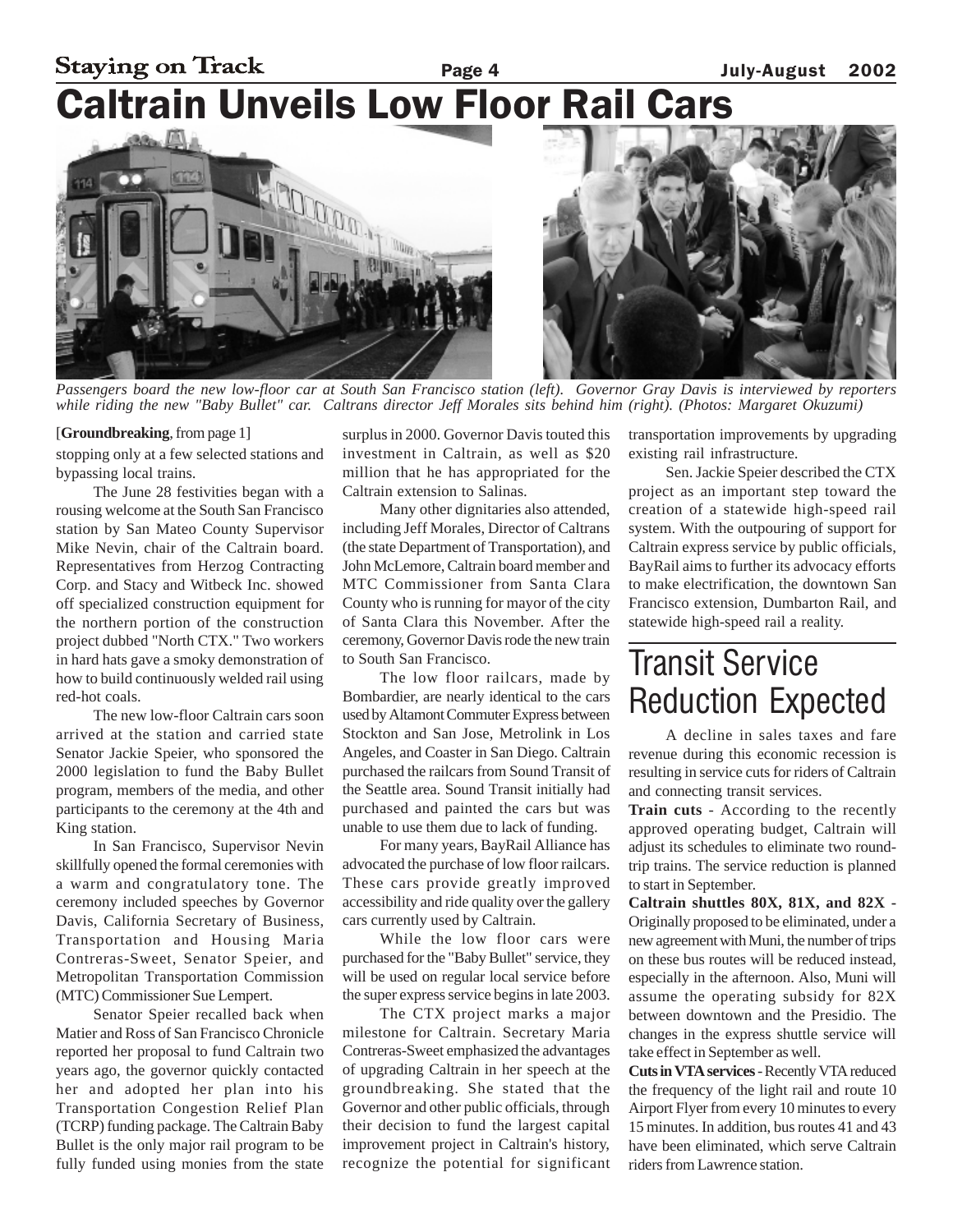## **Staying on Track** Page 4 **July-August** 2002 Caltrain Unveils Low Floor Rail Cars



*Passengers board the new low-floor car at South San Francisco station (left). Governor Gray Davis is interviewed by reporters while riding the new "Baby Bullet" car. Caltrans director Jeff Morales sits behind him (right). (Photos: Margaret Okuzumi)*

#### [**Groundbreaking**, from page 1]

stopping only at a few selected stations and bypassing local trains.

The June 28 festivities began with a rousing welcome at the South San Francisco station by San Mateo County Supervisor Mike Nevin, chair of the Caltrain board. Representatives from Herzog Contracting Corp. and Stacy and Witbeck Inc. showed off specialized construction equipment for the northern portion of the construction project dubbed "North CTX." Two workers in hard hats gave a smoky demonstration of how to build continuously welded rail using red-hot coals.

The new low-floor Caltrain cars soon arrived at the station and carried state Senator Jackie Speier, who sponsored the 2000 legislation to fund the Baby Bullet program, members of the media, and other participants to the ceremony at the 4th and King station.

In San Francisco, Supervisor Nevin skillfully opened the formal ceremonies with a warm and congratulatory tone. The ceremony included speeches by Governor Davis, California Secretary of Business, Transportation and Housing Maria Contreras-Sweet, Senator Speier, and Metropolitan Transportation Commission (MTC) Commissioner Sue Lempert.

Senator Speier recalled back when Matier and Ross of San Francisco Chronicle reported her proposal to fund Caltrain two years ago, the governor quickly contacted her and adopted her plan into his Transportation Congestion Relief Plan (TCRP) funding package. The Caltrain Baby Bullet is the only major rail program to be fully funded using monies from the state

surplus in 2000. Governor Davis touted this investment in Caltrain, as well as \$20 million that he has appropriated for the Caltrain extension to Salinas.

Many other dignitaries also attended, including Jeff Morales, Director of Caltrans (the state Department of Transportation), and John McLemore, Caltrain board member and MTC Commissioner from Santa Clara County who is running for mayor of the city of Santa Clara this November. After the ceremony, Governor Davis rode the new train to South San Francisco.

The low floor railcars, made by Bombardier, are nearly identical to the cars used by Altamont Commuter Express between Stockton and San Jose, Metrolink in Los Angeles, and Coaster in San Diego. Caltrain purchased the railcars from Sound Transit of the Seattle area. Sound Transit initially had purchased and painted the cars but was unable to use them due to lack of funding.

For many years, BayRail Alliance has advocated the purchase of low floor railcars. These cars provide greatly improved accessibility and ride quality over the gallery cars currently used by Caltrain.

While the low floor cars were purchased for the "Baby Bullet" service, they will be used on regular local service before the super express service begins in late 2003.

The CTX project marks a major milestone for Caltrain. Secretary Maria Contreras-Sweet emphasized the advantages of upgrading Caltrain in her speech at the groundbreaking. She stated that the Governor and other public officials, through their decision to fund the largest capital improvement project in Caltrain's history, recognize the potential for significant transportation improvements by upgrading existing rail infrastructure.

Sen. Jackie Speier described the CTX project as an important step toward the creation of a statewide high-speed rail system. With the outpouring of support for Caltrain express service by public officials, BayRail aims to further its advocacy efforts to make electrification, the downtown San Francisco extension, Dumbarton Rail, and statewide high-speed rail a reality.

# Transit Service Reduction Expected

A decline in sales taxes and fare revenue during this economic recession is resulting in service cuts for riders of Caltrain and connecting transit services.

**Train cuts** - According to the recently approved operating budget, Caltrain will adjust its schedules to eliminate two roundtrip trains. The service reduction is planned to start in September.

**Caltrain shuttles 80X, 81X, and 82X -** Originally proposed to be eliminated, under a new agreement with Muni, the number of trips on these bus routes will be reduced instead, especially in the afternoon. Also, Muni will assume the operating subsidy for 82X between downtown and the Presidio. The changes in the express shuttle service will take effect in September as well.

**Cuts in VTA services** - Recently VTA reduced the frequency of the light rail and route 10 Airport Flyer from every 10 minutes to every 15 minutes. In addition, bus routes 41 and 43 have been eliminated, which serve Caltrain riders from Lawrence station.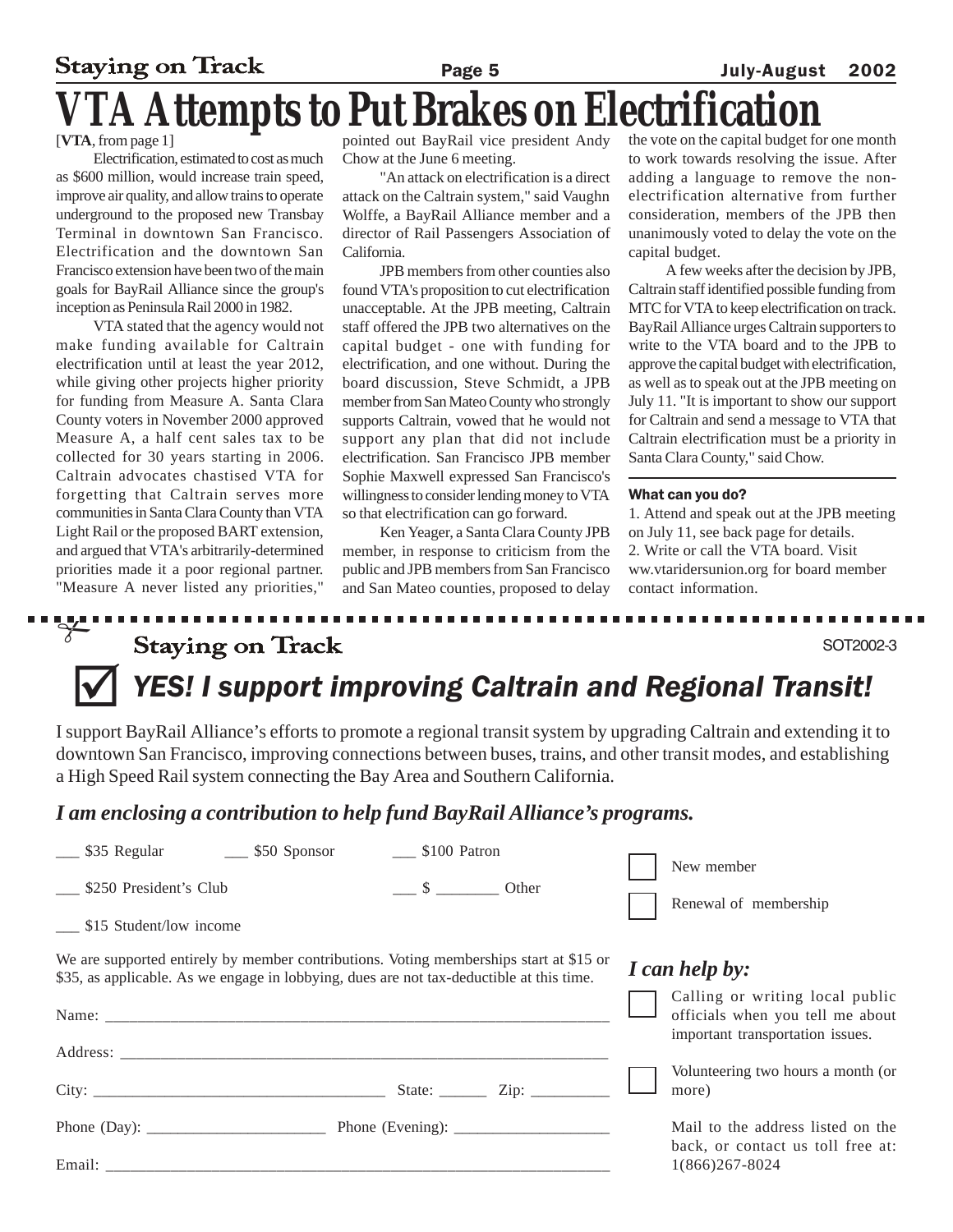# **Staying on Track** Page 5 July-August 2002 **FA Attempts to Put Brakes on Elect**

[**VTA**, from page 1]

Electrification, estimated to cost as much as \$600 million, would increase train speed, improve air quality, and allow trains to operate underground to the proposed new Transbay Terminal in downtown San Francisco. Electrification and the downtown San Francisco extension have been two of the main goals for BayRail Alliance since the group's inception as Peninsula Rail 2000 in 1982.

VTA stated that the agency would not make funding available for Caltrain electrification until at least the year 2012, while giving other projects higher priority for funding from Measure A. Santa Clara County voters in November 2000 approved Measure A, a half cent sales tax to be collected for 30 years starting in 2006. Caltrain advocates chastised VTA for forgetting that Caltrain serves more communities in Santa Clara County than VTA Light Rail or the proposed BART extension, and argued that VTA's arbitrarily-determined priorities made it a poor regional partner. "Measure A never listed any priorities,"

pointed out BayRail vice president Andy Chow at the June 6 meeting.

"An attack on electrification is a direct attack on the Caltrain system," said Vaughn Wolffe, a BayRail Alliance member and a director of Rail Passengers Association of California.

JPB members from other counties also found VTA's proposition to cut electrification unacceptable. At the JPB meeting, Caltrain staff offered the JPB two alternatives on the capital budget - one with funding for electrification, and one without. During the board discussion, Steve Schmidt, a JPB member from San Mateo County who strongly supports Caltrain, vowed that he would not support any plan that did not include electrification. San Francisco JPB member Sophie Maxwell expressed San Francisco's willingness to consider lending money to VTA so that electrification can go forward.

Ken Yeager, a Santa Clara County JPB member, in response to criticism from the public and JPB members from San Francisco and San Mateo counties, proposed to delay

the vote on the capital budget for one month to work towards resolving the issue. After adding a language to remove the nonelectrification alternative from further consideration, members of the JPB then unanimously voted to delay the vote on the capital budget.

A few weeks after the decision by JPB, Caltrain staff identified possible funding from MTC for VTA to keep electrification on track. BayRail Alliance urges Caltrain supporters to write to the VTA board and to the JPB to approve the capital budget with electrification, as well as to speak out at the JPB meeting on July 11. "It is important to show our support for Caltrain and send a message to VTA that Caltrain electrification must be a priority in Santa Clara County," said Chow.

#### What can you do?

1. Attend and speak out at the JPB meeting on July 11, see back page for details. 2. Write or call the VTA board. Visit ww.vtaridersunion.org for board member contact information.

#### $\frac{1}{\delta}$ ........... **Staying on Track** SOT2002-3 YES! I support improving Caltrain and Regional Transit!

I support BayRail Alliance's efforts to promote a regional transit system by upgrading Caltrain and extending it to downtown San Francisco, improving connections between buses, trains, and other transit modes, and establishing a High Speed Rail system connecting the Bay Area and Southern California.

## *I am enclosing a contribution to help fund BayRail Alliance's programs.*

| 550 Sponsor                                                                                                                                                                        |  | \$100 Patron                        |  |  | New member                                                                                              |  |
|------------------------------------------------------------------------------------------------------------------------------------------------------------------------------------|--|-------------------------------------|--|--|---------------------------------------------------------------------------------------------------------|--|
| \$250 President's Club                                                                                                                                                             |  | $\frac{\ }{2}$ $\frac{\ }{2}$ Other |  |  | Renewal of membership                                                                                   |  |
| ______ \$15 Student/low income                                                                                                                                                     |  |                                     |  |  |                                                                                                         |  |
| We are supported entirely by member contributions. Voting memberships start at \$15 or<br>\$35, as applicable. As we engage in lobbying, dues are not tax-deductible at this time. |  |                                     |  |  | I can help by:                                                                                          |  |
|                                                                                                                                                                                    |  |                                     |  |  | Calling or writing local public<br>officials when you tell me about<br>important transportation issues. |  |
|                                                                                                                                                                                    |  |                                     |  |  |                                                                                                         |  |
|                                                                                                                                                                                    |  |                                     |  |  | Volunteering two hours a month (or<br>more)                                                             |  |
|                                                                                                                                                                                    |  |                                     |  |  | Mail to the address listed on the<br>back, or contact us toll free at:                                  |  |
|                                                                                                                                                                                    |  |                                     |  |  | 1(866)267-8024                                                                                          |  |